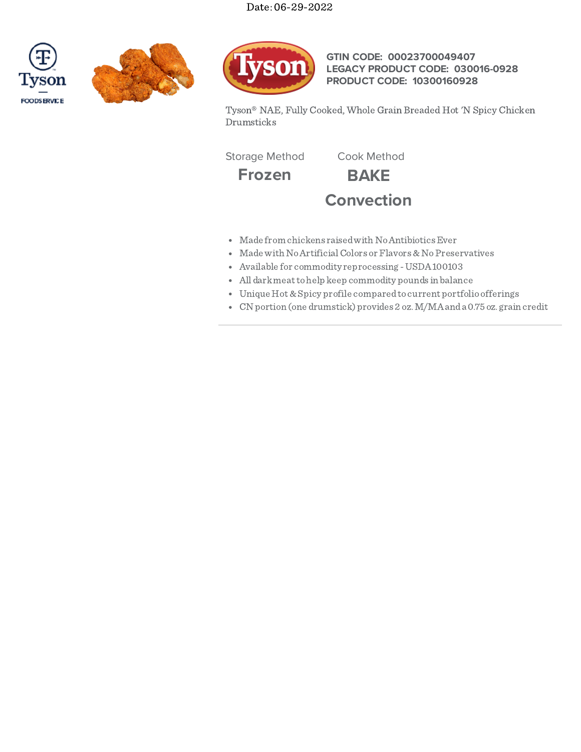





**GTIN CODE: 00023700049407 LEGACY PRODUCT CODE: 030016-0928 PRODUCT CODE: 10300160928**

Tyson® NAE, Fully Cooked, Whole Grain Breaded Hot 'N Spicy Chicken Drumsticks

Storage Method Cook Method

**Frozen BAKE Convection**

- Made from chickens raised with No Antibiotics Ever
- Made with No Artificial Colors or Flavors & No Preservatives
- Available for commodity reprocessing -USDA100103
- All darkmeattohelp keep commodity pounds in balance
- Unique Hot &Spicy profile comparedto current portfolio offerings
- CN portion (one drumstick) provides 2 oz.M/MAanda 0.75 oz. grain credit